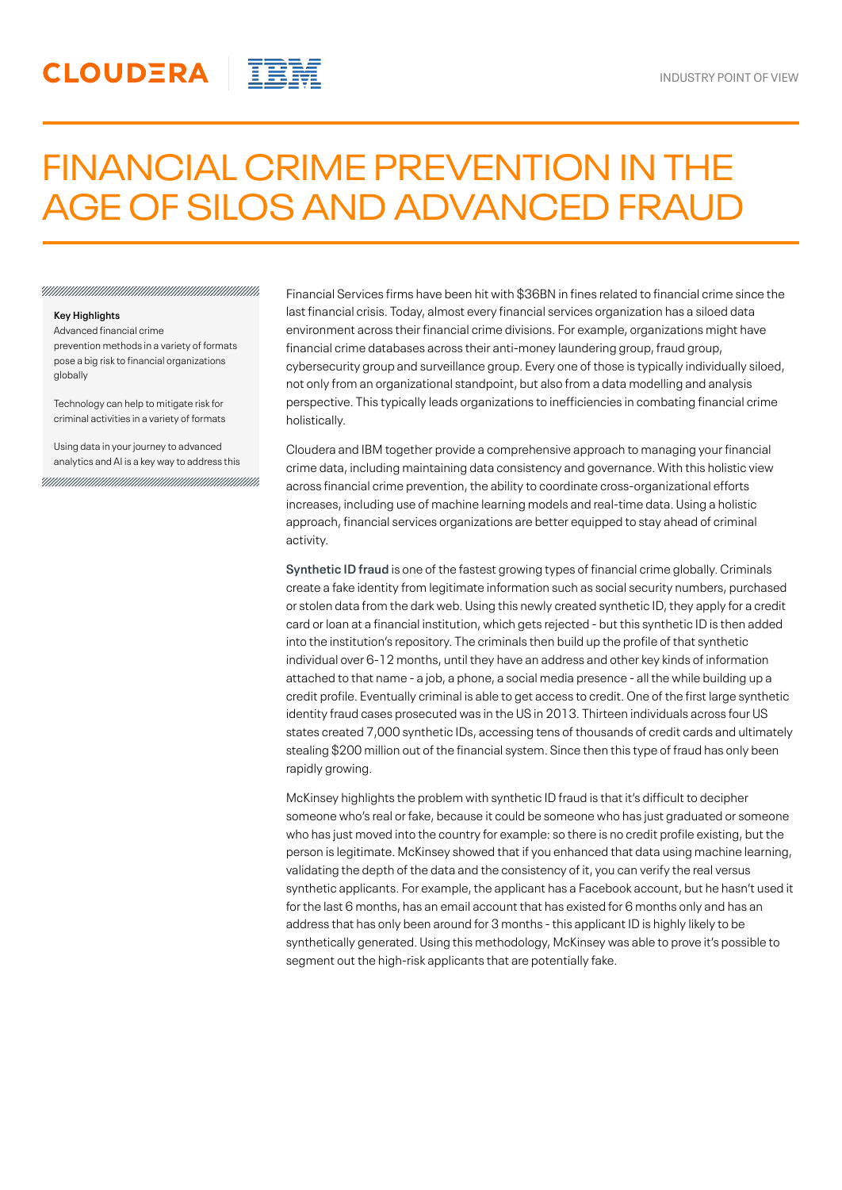## **CLOUDERA** TRM

# FINANCIAL CRIME PREVENTION IN THE AGE OF SILOS AND ADVANCED FRAUD

#### **Key Highlights**

globally

Advanced financial crime prevention methods in a variety of formats pose a big risk to financial organizations

Technology can help to mitigate risk for criminal activities in a variety of formats

Using data in your journey to advanced analytics and AI is a key way to address this

Financial Services firms have been hit with \$36BN in fines related to financial crime since the last financial crisis. Today, almost every financial services organization has a siloed data environment across their financial crime divisions. For example, organizations might have financial crime databases across their anti-money laundering group, fraud group, cybersecurity group and surveillance group. Every one of those is typically individually siloed, not only from an organizational standpoint, but also from a data modelling and analysis perspective. This typically leads organizations to inefficiencies in combating financial crime holistically.

Cloudera and IBM together provide a comprehensive approach to managing your financial crime data, including maintaining data consistency and governance. With this holistic view across financial crime prevention, the ability to coordinate cross-organizational efforts increases, including use of machine learning models and real-time data. Using a holistic approach, financial services organizations are better equipped to stay ahead of criminal activity.

**Synthetic ID fraud** is one of the fastest growing types of financial crime globally. Criminals create a fake identity from legitimate information such as social security numbers, purchased or stolen data from the dark web. Using this newly created synthetic ID, they apply for a credit card or loan at a financial institution, which gets rejected - but this synthetic ID is then added into the institution's repository. The criminals then build up the profile of that synthetic individual over 6-12 months, until they have an address and other key kinds of information attached to that name - a job, a phone, a social media presence - all the while building up a credit profile. Eventually criminal is able to get access to credit. One of the first large synthetic identity fraud cases prosecuted was in the US in 2013. Thirteen individuals across four US states created 7,000 synthetic IDs, accessing tens of thousands of credit cards and ultimately stealing \$200 million out of the financial system. Since then this type of fraud has only been rapidly growing.

McKinsey highlights the problem with synthetic ID fraud is that it's difficult to decipher someone who's real or fake, because it could be someone who has just graduated or someone who has just moved into the country for example: so there is no credit profile existing, but the person is legitimate. McKinsey showed that if you enhanced that data using machine learning, validating the depth of the data and the consistency of it, you can verify the real versus synthetic applicants. For example, the applicant has a Facebook account, but he hasn't used it for the last 6 months, has an email account that has existed for 6 months only and has an address that has only been around for 3 months - this applicant ID is highly likely to be synthetically generated. Using this methodology, McKinsey was able to prove it's possible to segment out the high-risk applicants that are potentially fake.